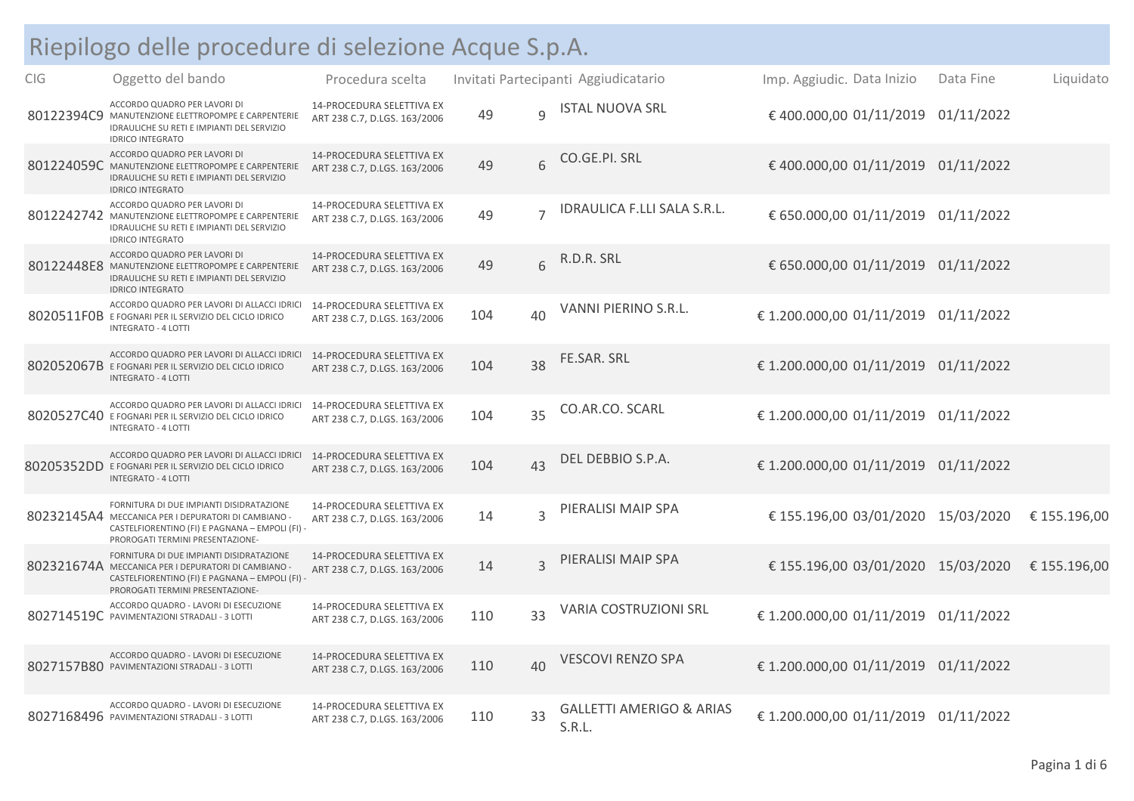## Riepilogo delle procedure di selezione Acque S.p.A.

| <b>CIG</b> | Oggetto del bando                                                                                                                                                                      | Procedura scelta                                                 |     |                | Invitati Partecipanti Aggiudicatario          | Imp. Aggiudic. Data Inizio           | Data Fine  | Liquidato    |
|------------|----------------------------------------------------------------------------------------------------------------------------------------------------------------------------------------|------------------------------------------------------------------|-----|----------------|-----------------------------------------------|--------------------------------------|------------|--------------|
|            | ACCORDO QUADRO PER LAVORI DI<br>80122394C9 MANUTENZIONE ELETTROPOMPE E CARPENTERIE<br>IDRAULICHE SU RETI E IMPIANTI DEL SERVIZIO<br><b>IDRICO INTEGRATO</b>                            | <b>14-PROCEDURA SELETTIVA EX</b><br>ART 238 C.7, D.LGS. 163/2006 | 49  | $\overline{q}$ | <b>ISTAL NUOVA SRL</b>                        | € 400.000,00 01/11/2019              | 01/11/2022 |              |
|            | ACCORDO QUADRO PER LAVORI DI<br>801224059C MANUTENZIONE ELETTROPOMPE E CARPENTERIE<br>IDRAULICHE SU RETI E IMPIANTI DEL SERVIZIO<br><b>IDRICO INTEGRATO</b>                            | 14-PROCEDURA SELETTIVA EX<br>ART 238 C.7, D.LGS. 163/2006        | 49  | 6              | CO.GE.PI. SRL                                 | € 400.000,00 01/11/2019 01/11/2022   |            |              |
|            | ACCORDO QUADRO PER LAVORI DI<br>8012242742 MANUTENZIONE ELETTROPOMPE E CARPENTERIE<br>IDRAULICHE SU RETI E IMPIANTI DEL SERVIZIO<br><b>IDRICO INTEGRATO</b>                            | 14-PROCEDURA SELETTIVA EX<br>ART 238 C.7, D.LGS. 163/2006        | 49  | $\overline{7}$ | IDRAULICA F.LLI SALA S.R.L.                   | € 650.000,00 01/11/2019 01/11/2022   |            |              |
|            | ACCORDO QUADRO PER LAVORI DI<br>80122448E8 MANUTENZIONE ELETTROPOMPE E CARPENTERIE<br>IDRAULICHE SU RETI E IMPIANTI DEL SERVIZIO<br><b>IDRICO INTEGRATO</b>                            | 14-PROCEDURA SELETTIVA EX<br>ART 238 C.7, D.LGS. 163/2006        | 49  | 6              | R.D.R. SRL                                    | € 650.000,00 01/11/2019 01/11/2022   |            |              |
|            | ACCORDO QUADRO PER LAVORI DI ALLACCI IDRICI<br>8020511F0B E FOGNARI PER IL SERVIZIO DEL CICLO IDRICO<br><b>INTEGRATO - 4 LOTTI</b>                                                     | 14-PROCEDURA SELETTIVA EX<br>ART 238 C.7, D.LGS. 163/2006        | 104 | 40             | VANNI PIERINO S.R.L.                          | € 1.200.000,00 01/11/2019 01/11/2022 |            |              |
|            | ACCORDO QUADRO PER LAVORI DI ALLACCI IDRICI<br>802052067B E FOGNARI PER IL SERVIZIO DEL CICLO IDRICO<br><b>INTEGRATO - 4 LOTTI</b>                                                     | 14-PROCEDURA SELETTIVA EX<br>ART 238 C.7, D.LGS. 163/2006        | 104 | 38             | FE.SAR. SRL                                   | € 1.200.000,00 01/11/2019 01/11/2022 |            |              |
|            | ACCORDO QUADRO PER LAVORI DI ALLACCI IDRICI<br>8020527C40 E FOGNARI PER IL SERVIZIO DEL CICLO IDRICO<br><b>INTEGRATO - 4 LOTTI</b>                                                     | 14-PROCEDURA SELETTIVA EX<br>ART 238 C.7, D.LGS. 163/2006        | 104 | 35             | CO.AR.CO. SCARL                               | € 1.200.000,00 01/11/2019 01/11/2022 |            |              |
|            | ACCORDO QUADRO PER LAVORI DI ALLACCI IDRICI<br>80205352DD E FOGNARI PER IL SERVIZIO DEL CICLO IDRICO<br><b>INTEGRATO - 4 LOTTI</b>                                                     | 14-PROCEDURA SELETTIVA EX<br>ART 238 C.7, D.LGS. 163/2006        | 104 | 43             | DEL DEBBIO S.P.A.                             | € 1.200.000,00 01/11/2019 01/11/2022 |            |              |
|            | FORNITURA DI DUE IMPIANTI DISIDRATAZIONE<br>80232145A4 MECCANICA PER I DEPURATORI DI CAMBIANO -<br>CASTELFIORENTINO (FI) E PAGNANA - EMPOLI (FI) -<br>PROROGATI TERMINI PRESENTAZIONE- | <b>14-PROCEDURA SELETTIVA EX</b><br>ART 238 C.7, D.LGS. 163/2006 | 14  | $\overline{3}$ | PIERALISI MAIP SPA                            | € 155.196,00 03/01/2020 15/03/2020   |            | € 155.196,00 |
|            | FORNITURA DI DUE IMPIANTI DISIDRATAZIONE<br>802321674A MECCANICA PER I DEPURATORI DI CAMBIANO<br>CASTELFIORENTINO (FI) E PAGNANA - EMPOLI (FI) -<br>PROROGATI TERMINI PRESENTAZIONE-   | 14-PROCEDURA SELETTIVA EX<br>ART 238 C.7, D.LGS. 163/2006        | 14  | 3              | PIERALISI MAIP SPA                            | € 155.196,00 03/01/2020 15/03/2020   |            | € 155.196,00 |
|            | ACCORDO QUADRO - LAVORI DI ESECUZIONE<br>802714519C PAVIMENTAZIONI STRADALI - 3 LOTTI                                                                                                  | <b>14-PROCEDURA SELETTIVA EX</b><br>ART 238 C.7, D.LGS. 163/2006 | 110 | 33             | VARIA COSTRUZIONI SRL                         | €1.200.000,00 01/11/2019 01/11/2022  |            |              |
|            | ACCORDO QUADRO - LAVORI DI ESECUZIONE<br>8027157B80 PAVIMENTAZIONI STRADALI - 3 LOTTI                                                                                                  | <b>14-PROCEDURA SELETTIVA EX</b><br>ART 238 C.7, D.LGS. 163/2006 | 110 | 40             | VESCOVI RENZO SPA                             | € 1.200.000,00 01/11/2019 01/11/2022 |            |              |
|            | ACCORDO QUADRO - LAVORI DI ESECUZIONE<br>8027168496 PAVIMENTAZIONI STRADALI - 3 LOTTI                                                                                                  | <b>14-PROCEDURA SELETTIVA EX</b><br>ART 238 C.7, D.LGS. 163/2006 | 110 | 33             | <b>GALLETTI AMERIGO &amp; ARIAS</b><br>S.R.L. | € 1.200.000,00 01/11/2019 01/11/2022 |            |              |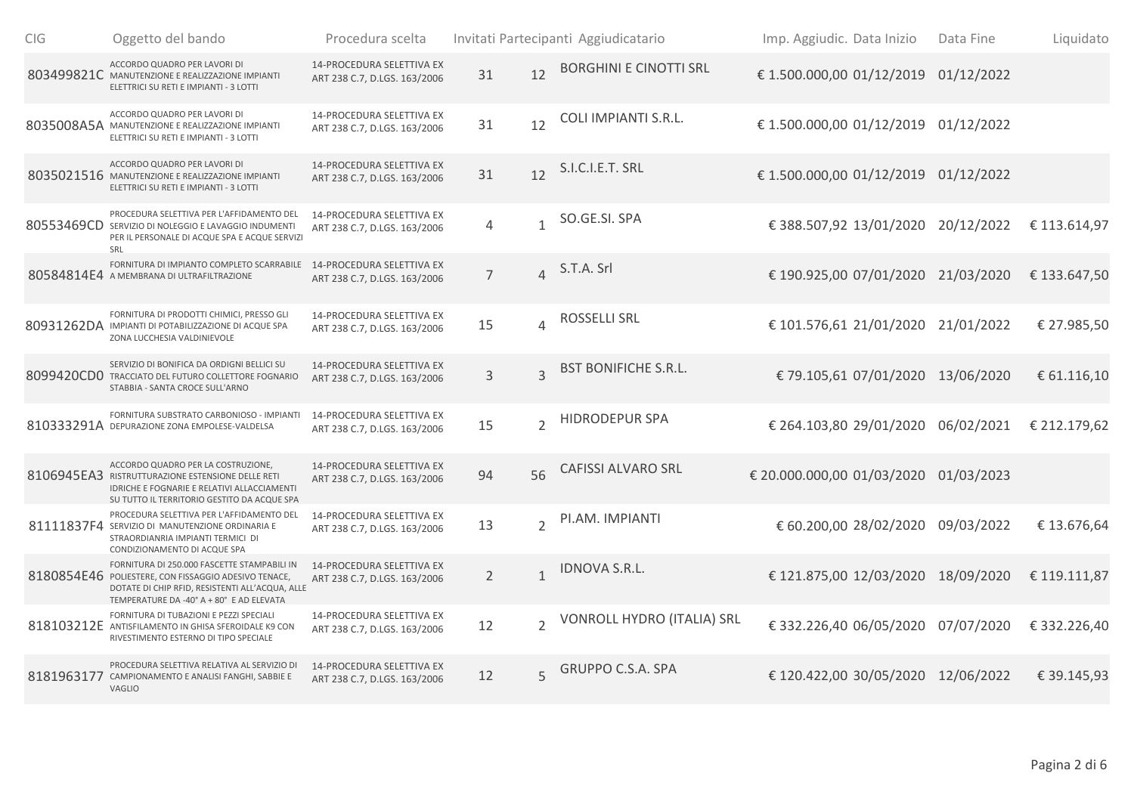| <b>CIG</b> | Oggetto del bando                                                                                                                                                                                  | Procedura scelta                                                 |                |                | Invitati Partecipanti Aggiudicatario | Imp. Aggiudic. Data Inizio            | Data Fine  | Liquidato    |
|------------|----------------------------------------------------------------------------------------------------------------------------------------------------------------------------------------------------|------------------------------------------------------------------|----------------|----------------|--------------------------------------|---------------------------------------|------------|--------------|
|            | ACCORDO QUADRO PER LAVORI DI<br>803499821C MANUTENZIONE E REALIZZAZIONE IMPIANTI<br>ELETTRICI SU RETI E IMPIANTI - 3 LOTTI                                                                         | 14-PROCEDURA SELETTIVA EX<br>ART 238 C.7, D.LGS. 163/2006        | 31             | 12             | <b>BORGHINI E CINOTTI SRL</b>        | €1.500.000,00 01/12/2019              | 01/12/2022 |              |
|            | ACCORDO QUADRO PER LAVORI DI<br>8035008A5A MANUTENZIONE E REALIZZAZIONE IMPIANTI<br>ELETTRICI SU RETI E IMPIANTI - 3 LOTTI                                                                         | 14-PROCEDURA SELETTIVA EX<br>ART 238 C.7, D.LGS. 163/2006        | 31             | 12             | COLI IMPIANTI S.R.L.                 | € 1.500.000,00 01/12/2019             | 01/12/2022 |              |
|            | ACCORDO QUADRO PER LAVORI DI<br>8035021516 MANUTENZIONE E REALIZZAZIONE IMPIANTI<br>ELETTRICI SU RETI E IMPIANTI - 3 LOTTI                                                                         | 14-PROCEDURA SELETTIVA EX<br>ART 238 C.7, D.LGS. 163/2006        | 31             | 12             | S.I.C.I.E.T. SRL                     | € 1.500.000,00 01/12/2019 01/12/2022  |            |              |
|            | PROCEDURA SELETTIVA PER L'AFFIDAMENTO DEL<br>80553469CD SERVIZIO DI NOLEGGIO E LAVAGGIO INDUMENTI<br>PER IL PERSONALE DI ACQUE SPA E ACQUE SERVIZI<br>SRL                                          | 14-PROCEDURA SELETTIVA EX<br>ART 238 C.7, D.LGS. 163/2006        | 4              | $\mathbf{1}$   | SO.GE.SI. SPA                        | € 388.507,92 13/01/2020 20/12/2022    |            | € 113.614,97 |
|            | FORNITURA DI IMPIANTO COMPLETO SCARRABILE<br>80584814E4 A MEMBRANA DI ULTRAFILTRAZIONE                                                                                                             | 14-PROCEDURA SELETTIVA EX<br>ART 238 C.7, D.LGS. 163/2006        | $\overline{7}$ | $\Delta$       | S.T.A. Srl                           | € 190.925,00 07/01/2020 21/03/2020    |            | € 133.647,50 |
|            | FORNITURA DI PRODOTTI CHIMICI, PRESSO GLI<br>80931262DA IMPIANTI DI POTABILIZZAZIONE DI ACQUE SPA<br>ZONA LUCCHESIA VALDINIEVOLE                                                                   | 14-PROCEDURA SELETTIVA EX<br>ART 238 C.7, D.LGS. 163/2006        | 15             | $\Lambda$      | ROSSELLI SRL                         | € 101.576,61 21/01/2020 21/01/2022    |            | € 27.985,50  |
|            | SERVIZIO DI BONIFICA DA ORDIGNI BELLICI SU<br>8099420CD0 TRACCIATO DEL FUTURO COLLETTORE FOGNARIO<br>STABBIA - SANTA CROCE SULL'ARNO                                                               | 14-PROCEDURA SELETTIVA EX<br>ART 238 C.7, D.LGS. 163/2006        | 3              | $\overline{3}$ | <b>BST BONIFICHE S.R.L.</b>          | € 79.105,61 07/01/2020 13/06/2020     |            | € 61.116,10  |
|            | FORNITURA SUBSTRATO CARBONIOSO - IMPIANTI<br>810333291A DEPURAZIONE ZONA EMPOLESE-VALDELSA                                                                                                         | 14-PROCEDURA SELETTIVA EX<br>ART 238 C.7, D.LGS. 163/2006        | 15             | $\overline{2}$ | <b>HIDRODEPUR SPA</b>                | € 264.103,80 29/01/2020 06/02/2021    |            | € 212.179,62 |
|            | ACCORDO QUADRO PER LA COSTRUZIONE,<br>8106945EA3 RISTRUTTURAZIONE ESTENSIONE DELLE RETI<br>IDRICHE E FOGNARIE E RELATIVI ALLACCIAMENTI<br>SU TUTTO IL TERRITORIO GESTITO DA ACQUE SPA              | <b>14-PROCEDURA SELETTIVA EX</b><br>ART 238 C.7, D.LGS. 163/2006 | 94             | 56             | <b>CAFISSI ALVARO SRL</b>            | € 20.000.000,00 01/03/2020 01/03/2023 |            |              |
|            | PROCEDURA SELETTIVA PER L'AFFIDAMENTO DEL<br>81111837F4 SERVIZIO DI MANUTENZIONE ORDINARIA E<br>STRAORDIANRIA IMPIANTI TERMICI DI<br>CONDIZIONAMENTO DI ACQUE SPA                                  | 14-PROCEDURA SELETTIVA EX<br>ART 238 C.7, D.LGS. 163/2006        | 13             | $\overline{2}$ | PI.AM. IMPIANTI                      | € 60.200,00 28/02/2020                | 09/03/2022 | € 13.676,64  |
|            | FORNITURA DI 250.000 FASCETTE STAMPABILI IN<br>8180854E46 POLIESTERE, CON FISSAGGIO ADESIVO TENACE,<br>DOTATE DI CHIP RFID, RESISTENTI ALL'ACQUA, ALLE<br>TEMPERATURE DA -40° A + 80° E AD ELEVATA | <b>14-PROCEDURA SELETTIVA EX</b><br>ART 238 C.7, D.LGS. 163/2006 | $\overline{2}$ | $\mathbf{1}$   | IDNOVA S.R.L.                        | € 121.875,00 12/03/2020 18/09/2020    |            | € 119.111,87 |
|            | FORNITURA DI TUBAZIONI E PEZZI SPECIALI<br>818103212E ANTISFILAMENTO IN GHISA SFEROIDALE K9 CON<br>RIVESTIMENTO ESTERNO DI TIPO SPECIALE                                                           | 14-PROCEDURA SELETTIVA EX<br>ART 238 C.7, D.LGS. 163/2006        | 12             | $\overline{2}$ | VONROLL HYDRO (ITALIA) SRL           | € 332.226,40 06/05/2020 07/07/2020    |            | € 332.226,40 |
|            | PROCEDURA SELETTIVA RELATIVA AL SERVIZIO DI<br>8181963177 CAMPIONAMENTO E ANALISI FANGHI, SABBIE E<br>VAGLIO                                                                                       | <b>14-PROCEDURA SELETTIVA EX</b><br>ART 238 C.7, D.LGS. 163/2006 | 12             | $\overline{5}$ | <b>GRUPPO C.S.A. SPA</b>             | € 120.422,00 30/05/2020 12/06/2022    |            | € 39.145,93  |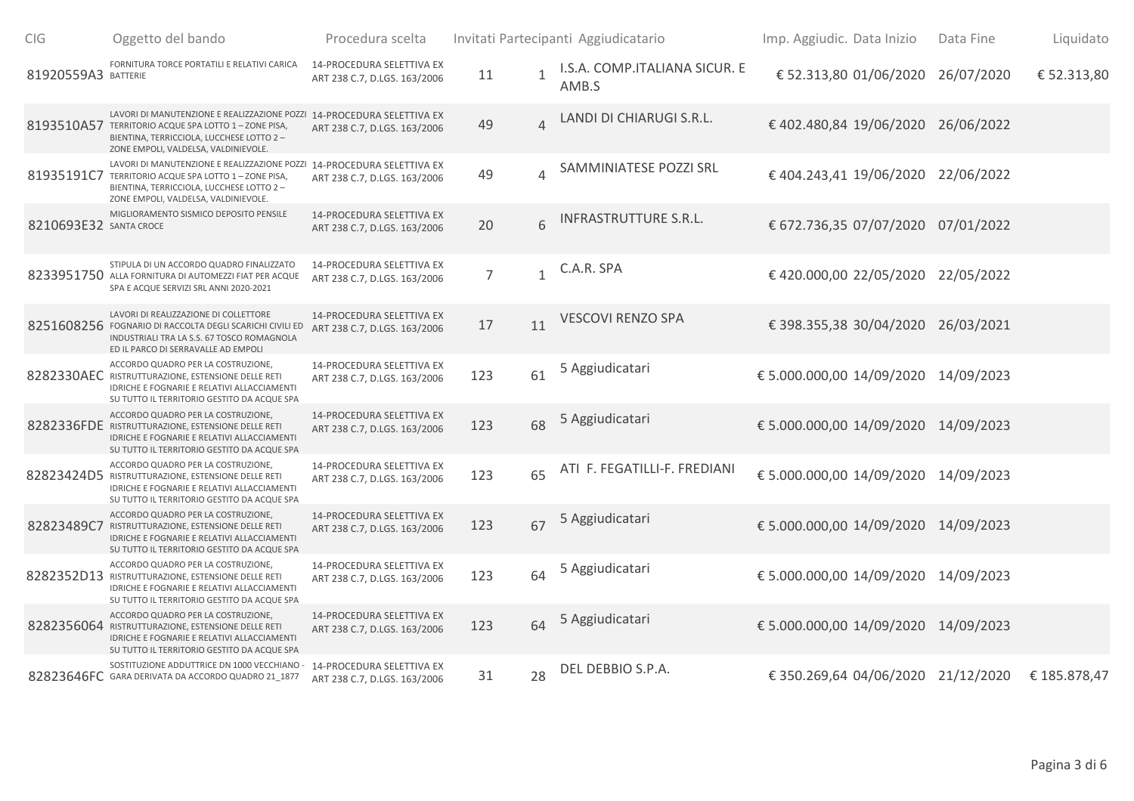| CIG                    | Oggetto del bando                                                                                                                                                                                                  | Procedura scelta                                                 |                |                | Invitati Partecipanti Aggiudicatario   | Imp. Aggiudic. Data Inizio           | Data Fine  | Liquidato    |
|------------------------|--------------------------------------------------------------------------------------------------------------------------------------------------------------------------------------------------------------------|------------------------------------------------------------------|----------------|----------------|----------------------------------------|--------------------------------------|------------|--------------|
| 81920559A3 BATTERIE    | FORNITURA TORCE PORTATILI E RELATIVI CARICA                                                                                                                                                                        | 14-PROCEDURA SELETTIVA EX<br>ART 238 C.7, D.LGS. 163/2006        | 11             | $\mathbf{1}$   | I.S.A. COMP.ITALIANA SICUR. E<br>AMB.S | € 52.313,80 01/06/2020               | 26/07/2020 | € 52.313,80  |
|                        | LAVORI DI MANUTENZIONE E REALIZZAZIONE POZZI 14-PROCEDURA SELETTIVA EX<br>8193510A57 TERRITORIO ACQUE SPA LOTTO 1 - ZONE PISA,<br>BIENTINA, TERRICCIOLA, LUCCHESE LOTTO 2-<br>ZONE EMPOLI, VALDELSA, VALDINIEVOLE. | ART 238 C.7, D.LGS. 163/2006                                     | 49             | $\Delta$       | LANDI DI CHIARUGI S.R.L.               | € 402.480,84 19/06/2020              | 26/06/2022 |              |
| 81935191C7             | LAVORI DI MANUTENZIONE E REALIZZAZIONE POZZI 14-PROCEDURA SELETTIVA EX<br>TERRITORIO ACQUE SPA LOTTO 1 - ZONE PISA,<br>BIENTINA, TERRICCIOLA, LUCCHESE LOTTO 2 -<br>ZONE EMPOLI, VALDELSA, VALDINIEVOLE.           | ART 238 C.7, D.LGS. 163/2006                                     | 49             | $\overline{4}$ | SAMMINIATESE POZZI SRL                 | € 404.243,41 19/06/2020              | 22/06/2022 |              |
| 8210693E32 SANTA CROCE | MIGLIORAMENTO SISMICO DEPOSITO PENSILE                                                                                                                                                                             | 14-PROCEDURA SELETTIVA EX<br>ART 238 C.7, D.LGS. 163/2006        | 20             | 6              | INFRASTRUTTURE S.R.L.                  | € 672.736,35 07/07/2020 07/01/2022   |            |              |
|                        | STIPULA DI UN ACCORDO QUADRO FINALIZZATO<br>8233951750 ALLA FORNITURA DI AUTOMEZZI FIAT PER ACQUE<br>SPA E ACQUE SERVIZI SRL ANNI 2020-2021                                                                        | 14-PROCEDURA SELETTIVA EX<br>ART 238 C.7, D.LGS. 163/2006        | $\overline{7}$ | $\mathbf{1}$   | C.A.R. SPA                             | € 420.000,00 22/05/2020 22/05/2022   |            |              |
|                        | LAVORI DI REALIZZAZIONE DI COLLETTORE<br>8251608256 FOGNARIO DI RACCOLTA DEGLI SCARICHI CIVILI ED<br>INDUSTRIALI TRA LA S.S. 67 TOSCO ROMAGNOLA<br>ED IL PARCO DI SERRAVALLE AD EMPOLI                             | <b>14-PROCEDURA SELETTIVA EX</b><br>ART 238 C.7, D.LGS. 163/2006 | 17             | 11             | VESCOVI RENZO SPA                      | € 398.355,38 30/04/2020              | 26/03/2021 |              |
|                        | ACCORDO QUADRO PER LA COSTRUZIONE,<br>8282330AEC RISTRUTTURAZIONE, ESTENSIONE DELLE RETI<br>IDRICHE E FOGNARIE E RELATIVI ALLACCIAMENTI<br>SU TUTTO IL TERRITORIO GESTITO DA ACQUE SPA                             | 14-PROCEDURA SELETTIVA EX<br>ART 238 C.7, D.LGS. 163/2006        | 123            | 61             | 5 Aggiudicatari                        | € 5.000.000,00 14/09/2020 14/09/2023 |            |              |
|                        | ACCORDO QUADRO PER LA COSTRUZIONE,<br>8282336FDE RISTRUTTURAZIONE, ESTENSIONE DELLE RETI<br>IDRICHE E FOGNARIE E RELATIVI ALLACCIAMENTI<br>SU TUTTO IL TERRITORIO GESTITO DA ACQUE SPA                             | 14-PROCEDURA SELETTIVA EX<br>ART 238 C.7, D.LGS. 163/2006        | 123            | 68             | 5 Aggiudicatari                        | € 5.000.000,00 14/09/2020            | 14/09/2023 |              |
| 82823424D5             | ACCORDO QUADRO PER LA COSTRUZIONE,<br>RISTRUTTURAZIONE, ESTENSIONE DELLE RETI<br>IDRICHE E FOGNARIE E RELATIVI ALLACCIAMENTI<br>SU TUTTO IL TERRITORIO GESTITO DA ACQUE SPA                                        | 14-PROCEDURA SELETTIVA EX<br>ART 238 C.7, D.LGS. 163/2006        | 123            | 65             | ATI F. FEGATILLI-F. FREDIANI           | € 5.000.000,00 14/09/2020            | 14/09/2023 |              |
|                        | ACCORDO QUADRO PER LA COSTRUZIONE,<br>82823489C7 RISTRUTTURAZIONE, ESTENSIONE DELLE RETI<br>IDRICHE E FOGNARIE E RELATIVI ALLACCIAMENTI<br>SU TUTTO IL TERRITORIO GESTITO DA ACQUE SPA                             | 14-PROCEDURA SELETTIVA EX<br>ART 238 C.7, D.LGS. 163/2006        | 123            | 67             | 5 Aggiudicatari                        | € 5.000.000,00 14/09/2020 14/09/2023 |            |              |
|                        | ACCORDO QUADRO PER LA COSTRUZIONE,<br>8282352D13 RISTRUTTURAZIONE, ESTENSIONE DELLE RETI<br>IDRICHE E FOGNARIE E RELATIVI ALLACCIAMENTI<br>SU TUTTO IL TERRITORIO GESTITO DA ACQUE SPA                             | 14-PROCEDURA SELETTIVA EX<br>ART 238 C.7, D.LGS. 163/2006        | 123            | 64             | 5 Aggiudicatari                        | € 5.000.000,00 14/09/2020 14/09/2023 |            |              |
|                        | ACCORDO QUADRO PER LA COSTRUZIONE,<br>8282356064 RISTRUTTURAZIONE, ESTENSIONE DELLE RETI<br>IDRICHE E FOGNARIE E RELATIVI ALLACCIAMENTI<br>SU TUTTO IL TERRITORIO GESTITO DA ACQUE SPA                             | 14-PROCEDURA SELETTIVA EX<br>ART 238 C.7, D.LGS. 163/2006        | 123            | 64             | 5 Aggiudicatari                        | € 5.000.000,00 14/09/2020 14/09/2023 |            |              |
|                        | SOSTITUZIONE ADDUTTRICE DN 1000 VECCHIANO<br>82823646FC GARA DERIVATA DA ACCORDO QUADRO 21_1877                                                                                                                    | 14-PROCEDURA SELETTIVA EX<br>ART 238 C.7, D.LGS. 163/2006        | 31             | 28             | DEL DEBBIO S.P.A.                      | € 350.269,64 04/06/2020 21/12/2020   |            | € 185.878,47 |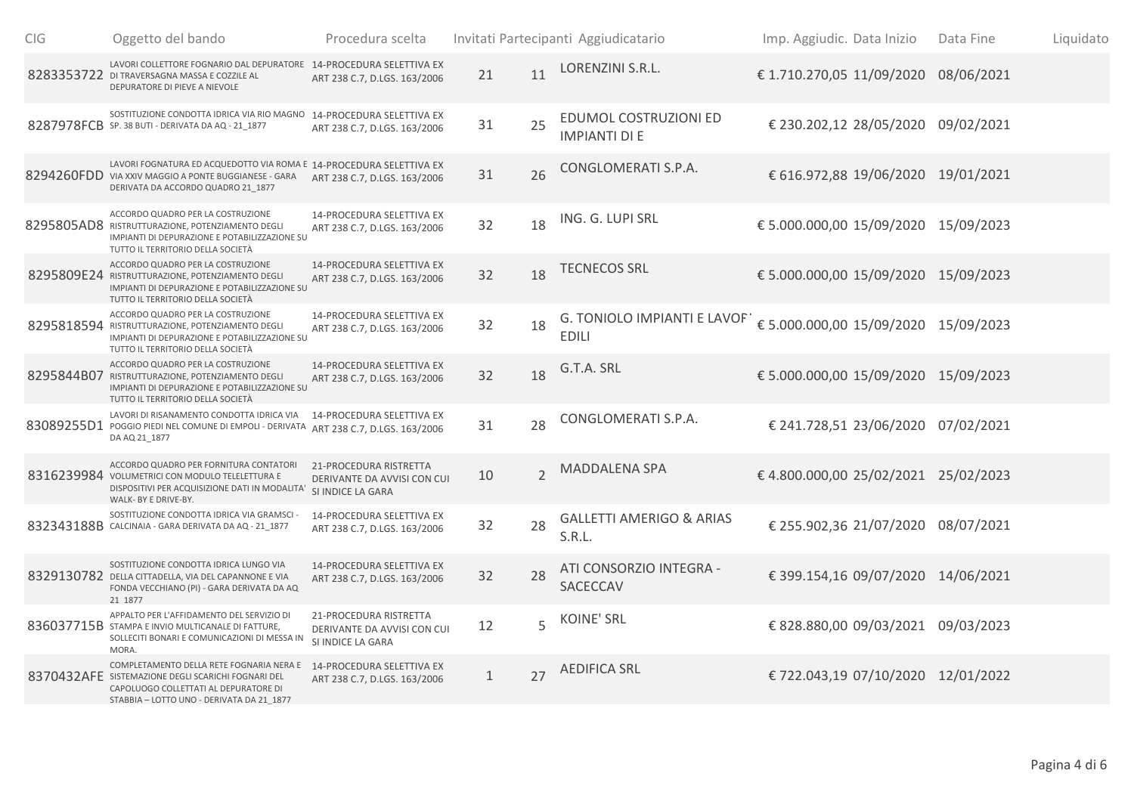| ClG | Oggetto del bando                                                                                                                                                                    | Procedura scelta                                                           |              |                | Invitati Partecipanti Aggiudicatario          | Imp. Aggiudic. Data Inizio           | Data Fine | Liquidato |
|-----|--------------------------------------------------------------------------------------------------------------------------------------------------------------------------------------|----------------------------------------------------------------------------|--------------|----------------|-----------------------------------------------|--------------------------------------|-----------|-----------|
|     | LAVORI COLLETTORE FOGNARIO DAL DEPURATORE 14-PROCEDURA SELETTIVA EX<br>8283353722 DI TRAVERSAGNA MASSA E COZZILE AL<br>DEPURATORE DI PIEVE A NIEVOLE                                 | ART 238 C.7, D.LGS. 163/2006                                               | 21           | 11             | LORENZINI S.R.L.                              | € 1.710.270,05 11/09/2020 08/06/2021 |           |           |
|     | SOSTITUZIONE CONDOTTA IDRICA VIA RIO MAGNO 14-PROCEDURA SELETTIVA EX<br>8287978FCB SP. 38 BUTI - DERIVATA DA AQ - 21 1877                                                            | ART 238 C.7, D.LGS. 163/2006                                               | 31           | 25             | EDUMOL COSTRUZIONI ED<br><b>IMPIANTI DI E</b> | € 230.202,12 28/05/2020 09/02/2021   |           |           |
|     | LAVORI FOGNATURA ED ACQUEDOTTO VIA ROMA E 14-PROCEDURA SELETTIVA EX<br>8294260FDD VIA XXIV MAGGIO A PONTE BUGGIANESE - GARA<br>DERIVATA DA ACCORDO QUADRO 21 1877                    | ART 238 C.7, D.LGS. 163/2006                                               | 31           | 26             | CONGLOMERATI S.P.A.                           | € 616.972,88 19/06/2020 19/01/2021   |           |           |
|     | ACCORDO QUADRO PER LA COSTRUZIONE<br>8295805AD8 RISTRUTTURAZIONE, POTENZIAMENTO DEGLI<br>IMPIANTI DI DEPURAZIONE E POTABILIZZAZIONE SU<br>TUTTO IL TERRITORIO DELLA SOCIETÀ          | 14-PROCEDURA SELETTIVA EX<br>ART 238 C.7, D.LGS. 163/2006                  | 32           | 18             | ING. G. LUPI SRL                              | € 5.000.000,00 15/09/2020 15/09/2023 |           |           |
|     | ACCORDO QUADRO PER LA COSTRUZIONE<br>8295809E24 RISTRUTTURAZIONE, POTENZIAMENTO DEGLI<br>IMPIANTI DI DEPURAZIONE E POTABILIZZAZIONE SU<br>TUTTO IL TERRITORIO DELLA SOCIETÀ          | <b>14-PROCEDURA SELETTIVA EX</b><br>ART 238 C.7, D.LGS. 163/2006           | 32           | 18             | TECNECOS SRL                                  | € 5.000.000,00 15/09/2020 15/09/2023 |           |           |
|     | ACCORDO QUADRO PER LA COSTRUZIONE<br>8295818594 RISTRUTTURAZIONE, POTENZIAMENTO DEGLI<br>IMPIANTI DI DEPURAZIONE E POTABILIZZAZIONE SU<br>TUTTO IL TERRITORIO DELLA SOCIETÀ          | 14-PROCEDURA SELETTIVA EX<br>ART 238 C.7, D.LGS. 163/2006                  | 32           | 18             | G. TONIOLO IMPIANTI E LAVOF<br><b>EDILI</b>   | € 5.000.000,00 15/09/2020 15/09/2023 |           |           |
|     | ACCORDO QUADRO PER LA COSTRUZIONE<br>8295844B07 RISTRUTTURAZIONE, POTENZIAMENTO DEGLI<br>IMPIANTI DI DEPURAZIONE E POTABILIZZAZIONE SU<br>TUTTO IL TERRITORIO DELLA SOCIETÀ          | <b>14-PROCEDURA SELETTIVA EX</b><br>ART 238 C.7, D.LGS. 163/2006           | 32           | 18             | G.T.A. SRL                                    | € 5.000.000,00 15/09/2020 15/09/2023 |           |           |
|     | LAVORI DI RISANAMENTO CONDOTTA IDRICA VIA<br>83089255D1 POGGIO PIEDI NEL COMUNE DI EMPOLI - DERIVATA<br>DA AQ 21_1877                                                                | 14-PROCEDURA SELETTIVA EX<br>ART 238 C.7, D.LGS. 163/2006                  | 31           | 28             | CONGLOMERATI S.P.A.                           | € 241.728,51 23/06/2020 07/02/2021   |           |           |
|     | ACCORDO QUADRO PER FORNITURA CONTATORI<br>8316239984 VOLUMETRICI CON MODULO TELELETTURA E<br>DISPOSITIVI PER ACQUISIZIONE DATI IN MODALITA'<br>WALK- BY E DRIVE-BY.                  | 21-PROCEDURA RISTRETTA<br>DERIVANTE DA AVVISI CON CUI<br>SI INDICE LA GARA | 10           | $\overline{2}$ | MADDALENA SPA                                 | € 4.800.000,00 25/02/2021 25/02/2023 |           |           |
|     | SOSTITUZIONE CONDOTTA IDRICA VIA GRAMSCI<br>832343188B CALCINAIA - GARA DERIVATA DA AQ - 21_1877                                                                                     | 14-PROCEDURA SELETTIVA EX<br>ART 238 C.7, D.LGS. 163/2006                  | 32           | 28             | <b>GALLETTI AMERIGO &amp; ARIAS</b><br>S.R.L. | € 255.902,36 21/07/2020 08/07/2021   |           |           |
|     | SOSTITUZIONE CONDOTTA IDRICA LUNGO VIA<br>8329130782 DELLA CITTADELLA, VIA DEL CAPANNONE E VIA<br>FONDA VECCHIANO (PI) - GARA DERIVATA DA AQ<br>21 1877                              | 14-PROCEDURA SELETTIVA EX<br>ART 238 C.7, D.LGS. 163/2006                  | 32           | 28             | ATI CONSORZIO INTEGRA -<br><b>SACECCAV</b>    | € 399.154,16 09/07/2020 14/06/2021   |           |           |
|     | APPALTO PER L'AFFIDAMENTO DEL SERVIZIO DI<br>836037715B STAMPA E INVIO MULTICANALE DI FATTURE,<br>SOLLECITI BONARI E COMUNICAZIONI DI MESSA IN<br>MORA.                              | 21-PROCEDURA RISTRETTA<br>DERIVANTE DA AVVISI CON CUI<br>SI INDICE LA GARA | 12           | 5              | <b>KOINE' SRL</b>                             | € 828.880,00 09/03/2021 09/03/2023   |           |           |
|     | COMPLETAMENTO DELLA RETE FOGNARIA NERA E<br>8370432AFE SISTEMAZIONE DEGLI SCARICHI FOGNARI DEL<br>CAPOLUOGO COLLETTATI AL DEPURATORE DI<br>STABBIA - LOTTO UNO - DERIVATA DA 21 1877 | 14-PROCEDURA SELETTIVA EX<br>ART 238 C.7, D.LGS. 163/2006                  | $\mathbf{1}$ | 27             | AEDIFICA SRL                                  | € 722.043,19 07/10/2020 12/01/2022   |           |           |
|     |                                                                                                                                                                                      |                                                                            |              |                |                                               |                                      |           |           |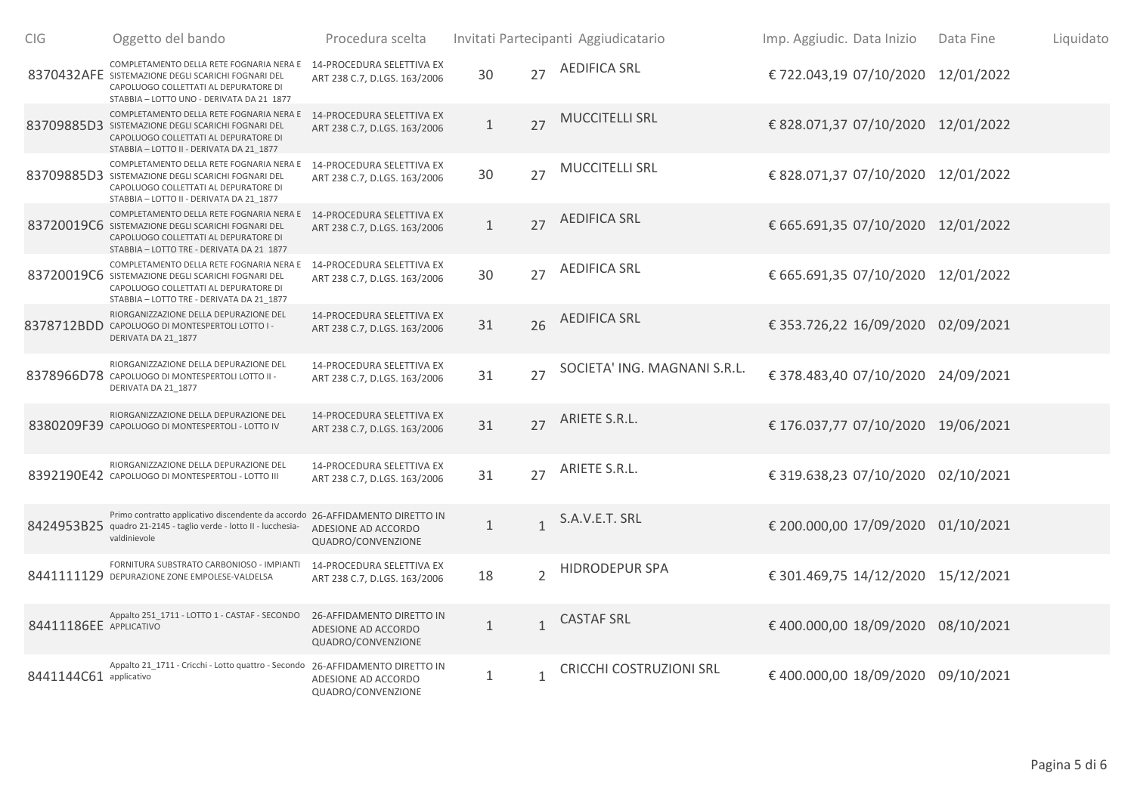| C <sub>IG</sub>        | Oggetto del bando                                                                                                                                                                                             | Procedura scelta                                                       |              |                | Invitati Partecipanti Aggiudicatario | Imp. Aggiudic. Data Inizio         | Data Fine | Liquidato |
|------------------------|---------------------------------------------------------------------------------------------------------------------------------------------------------------------------------------------------------------|------------------------------------------------------------------------|--------------|----------------|--------------------------------------|------------------------------------|-----------|-----------|
|                        | COMPLETAMENTO DELLA RETE FOGNARIA NERA E<br>8370432AFE SISTEMAZIONE DEGLI SCARICHI FOGNARI DEL<br>CAPOLUOGO COLLETTATI AL DEPURATORE DI<br>STABBIA - LOTTO UNO - DERIVATA DA 21 1877                          | 14-PROCEDURA SELETTIVA EX<br>ART 238 C.7, D.LGS. 163/2006              | 30           | 27             | <b>AEDIFICA SRL</b>                  | € 722.043,19 07/10/2020 12/01/2022 |           |           |
|                        | COMPLETAMENTO DELLA RETE FOGNARIA NERA E 14-PROCEDURA SELETTIVA EX<br>83709885D3 SISTEMAZIONE DEGLI SCARICHI FOGNARI DEL<br>CAPOLUOGO COLLETTATI AL DEPURATORE DI<br>STABBIA - LOTTO II - DERIVATA DA 21 1877 | ART 238 C.7, D.LGS. 163/2006                                           | $\mathbf{1}$ | 27             | <b>MUCCITELLI SRL</b>                | € 828.071,37 07/10/2020 12/01/2022 |           |           |
|                        | COMPLETAMENTO DELLA RETE FOGNARIA NERA E<br>83709885D3 SISTEMAZIONE DEGLI SCARICHI FOGNARI DEL<br>CAPOLUOGO COLLETTATI AL DEPURATORE DI<br>STABBIA - LOTTO II - DERIVATA DA 21 1877                           | 14-PROCEDURA SELETTIVA EX<br>ART 238 C.7, D.LGS. 163/2006              | 30           | 27             | <b>MUCCITELLI SRL</b>                | € 828.071,37 07/10/2020 12/01/2022 |           |           |
|                        | COMPLETAMENTO DELLA RETE FOGNARIA NERA E<br>83720019C6 SISTEMAZIONE DEGLI SCARICHI FOGNARI DEL<br>CAPOLUOGO COLLETTATI AL DEPURATORE DI<br>STABBIA - LOTTO TRE - DERIVATA DA 21 1877                          | 14-PROCEDURA SELETTIVA EX<br>ART 238 C.7, D.LGS. 163/2006              | $\mathbf{1}$ | 27             | AEDIFICA SRL                         | € 665.691,35 07/10/2020 12/01/2022 |           |           |
|                        | COMPLETAMENTO DELLA RETE FOGNARIA NERA E<br>83720019C6 SISTEMAZIONE DEGLI SCARICHI FOGNARI DEL<br>CAPOLUOGO COLLETTATI AL DEPURATORE DI<br>STABBIA - LOTTO TRE - DERIVATA DA 21 1877                          | 14-PROCEDURA SELETTIVA EX<br>ART 238 C.7, D.LGS. 163/2006              | 30           | 27             | <b>AEDIFICA SRL</b>                  | € 665.691,35 07/10/2020 12/01/2022 |           |           |
|                        | RIORGANIZZAZIONE DELLA DEPURAZIONE DEL<br>8378712BDD CAPOLUOGO DI MONTESPERTOLI LOTTO I -<br>DERIVATA DA 21_1877                                                                                              | <b>14-PROCEDURA SELETTIVA EX</b><br>ART 238 C.7, D.LGS. 163/2006       | 31           | 26             | <b>AEDIFICA SRL</b>                  | € 353.726,22 16/09/2020 02/09/2021 |           |           |
|                        | RIORGANIZZAZIONE DELLA DEPURAZIONE DEL<br>8378966D78 CAPOLUOGO DI MONTESPERTOLI LOTTO II -<br>DERIVATA DA 21 1877                                                                                             | 14-PROCEDURA SELETTIVA EX<br>ART 238 C.7, D.LGS. 163/2006              | 31           | 27             | SOCIETA' ING. MAGNANI S.R.L.         | € 378.483,40 07/10/2020 24/09/2021 |           |           |
|                        | RIORGANIZZAZIONE DELLA DEPURAZIONE DEL<br>8380209F39 CAPOLUOGO DI MONTESPERTOLI - LOTTO IV                                                                                                                    | 14-PROCEDURA SELETTIVA EX<br>ART 238 C.7, D.LGS. 163/2006              | 31           | 27             | ARIETE S.R.L.                        | € 176.037,77 07/10/2020 19/06/2021 |           |           |
|                        | RIORGANIZZAZIONE DELLA DEPURAZIONE DEL<br>8392190E42 CAPOLUOGO DI MONTESPERTOLI - LOTTO III                                                                                                                   | 14-PROCEDURA SELETTIVA EX<br>ART 238 C.7, D.LGS. 163/2006              | 31           | 27             | ARIETE S.R.L.                        | € 319.638,23 07/10/2020 02/10/2021 |           |           |
| 8424953B25             | Primo contratto applicativo discendente da accordo 26-AFFIDAMENTO DIRETTO IN<br>quadro 21-2145 - taglio verde - lotto II - lucchesia-<br>valdinievole                                                         | ADESIONE AD ACCORDO<br>QUADRO/CONVENZIONE                              | $1\,$        | $\mathbf{1}$   | S.A.V.E.T. SRL                       | € 200.000,00 17/09/2020 01/10/2021 |           |           |
|                        | FORNITURA SUBSTRATO CARBONIOSO - IMPIANTI<br>8441111129 DEPURAZIONE ZONE EMPOLESE-VALDELSA                                                                                                                    | 14-PROCEDURA SELETTIVA EX<br>ART 238 C.7, D.LGS. 163/2006              | 18           | $\overline{2}$ | <b>HIDRODEPUR SPA</b>                | € 301.469,75 14/12/2020 15/12/2021 |           |           |
| 84411186EE APPLICATIVO | Appalto 251_1711 - LOTTO 1 - CASTAF - SECONDO                                                                                                                                                                 | 26-AFFIDAMENTO DIRETTO IN<br>ADESIONE AD ACCORDO<br>QUADRO/CONVENZIONE | $\mathbf{1}$ | $\mathbf{1}$   | <b>CASTAF SRL</b>                    | € 400.000,00 18/09/2020 08/10/2021 |           |           |
| 8441144C61 applicativo | Appalto 21_1711 - Cricchi - Lotto quattro - Secondo 26-AFFIDAMENTO DIRETTO IN                                                                                                                                 | ADESIONE AD ACCORDO<br>QUADRO/CONVENZIONE                              | $\mathbf{1}$ | $\mathbf{1}$   | <b>CRICCHI COSTRUZIONI SRL</b>       | € 400.000,00 18/09/2020 09/10/2021 |           |           |